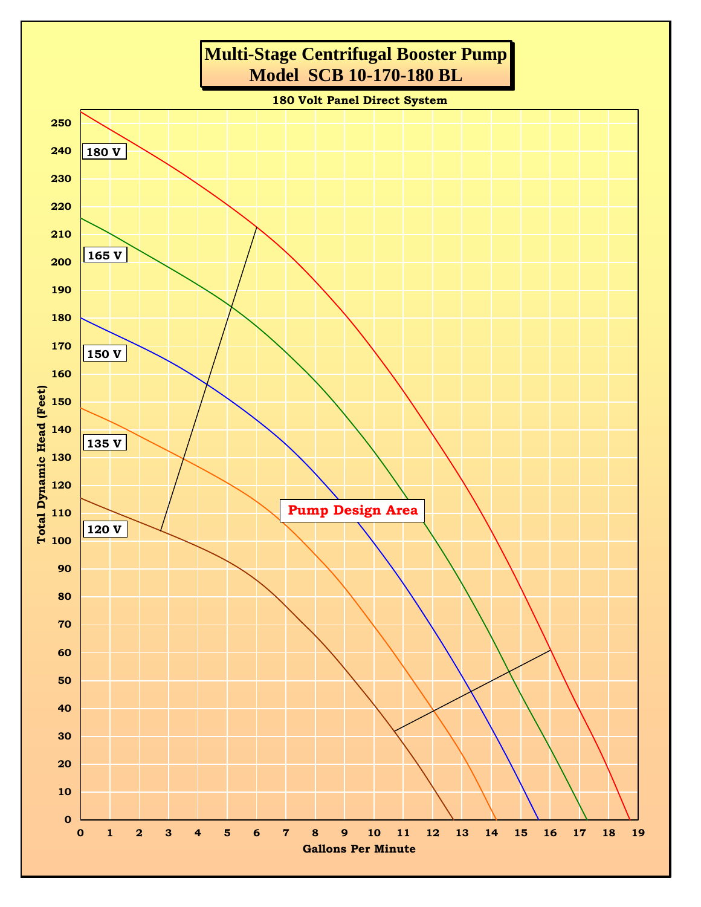